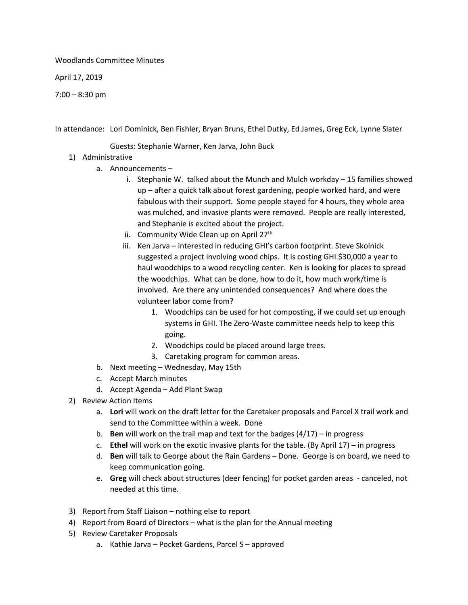Woodlands Committee Minutes

April 17, 2019

7:00 – 8:30 pm

In attendance: Lori Dominick, Ben Fishler, Bryan Bruns, Ethel Dutky, Ed James, Greg Eck, Lynne Slater

Guests: Stephanie Warner, Ken Jarva, John Buck

- 1) Administrative
	- a. Announcements
		- i. Stephanie W. talked about the Munch and Mulch workday 15 families showed up – after a quick talk about forest gardening, people worked hard, and were fabulous with their support. Some people stayed for 4 hours, they whole area was mulched, and invasive plants were removed. People are really interested, and Stephanie is excited about the project.
		- ii. Community Wide Clean up on April  $27<sup>th</sup>$
		- iii. Ken Jarva interested in reducing GHI's carbon footprint. Steve Skolnick suggested a project involving wood chips. It is costing GHI \$30,000 a year to haul woodchips to a wood recycling center. Ken is looking for places to spread the woodchips. What can be done, how to do it, how much work/time is involved. Are there any unintended consequences? And where does the volunteer labor come from?
			- 1. Woodchips can be used for hot composting, if we could set up enough systems in GHI. The Zero-Waste committee needs help to keep this going.
			- 2. Woodchips could be placed around large trees.
			- 3. Caretaking program for common areas.
	- b. Next meeting Wednesday, May 15th
	- c. Accept March minutes
	- d. Accept Agenda Add Plant Swap
- 2) Review Action Items
	- a. **Lori** will work on the draft letter for the Caretaker proposals and Parcel X trail work and send to the Committee within a week. Done
	- b. **Ben** will work on the trail map and text for the badges (4/17) in progress
	- c. **Ethel** will work on the exotic invasive plants for the table. (By April 17) in progress
	- d. **Ben** will talk to George about the Rain Gardens Done. George is on board, we need to keep communication going.
	- e. **Greg** will check about structures (deer fencing) for pocket garden areas canceled, not needed at this time.
- 3) Report from Staff Liaison nothing else to report
- 4) Report from Board of Directors what is the plan for the Annual meeting
- 5) Review Caretaker Proposals
	- a. Kathie Jarva Pocket Gardens, Parcel S approved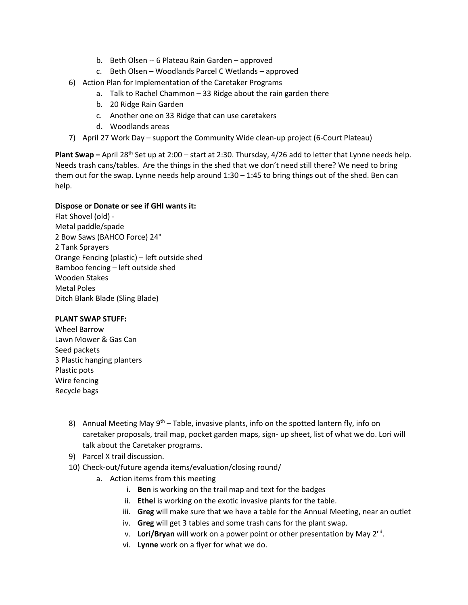- b. Beth Olsen -- 6 Plateau Rain Garden approved
- c. Beth Olsen Woodlands Parcel C Wetlands approved
- 6) Action Plan for Implementation of the Caretaker Programs
	- a. Talk to Rachel Chammon 33 Ridge about the rain garden there
	- b. 20 Ridge Rain Garden
	- c. Another one on 33 Ridge that can use caretakers
	- d. Woodlands areas
- 7) April 27 Work Day support the Community Wide clean-up project (6-Court Plateau)

**Plant Swap** – April 28<sup>th</sup> Set up at 2:00 – start at 2:30. Thursday, 4/26 add to letter that Lynne needs help. Needs trash cans/tables. Are the things in the shed that we don't need still there? We need to bring them out for the swap. Lynne needs help around 1:30 – 1:45 to bring things out of the shed. Ben can help.

## **Dispose or Donate or see if GHI wants it:**

Flat Shovel (old) - Metal paddle/spade 2 Bow Saws (BAHCO Force) 24" 2 Tank Sprayers Orange Fencing (plastic) – left outside shed Bamboo fencing – left outside shed Wooden Stakes Metal Poles Ditch Blank Blade (Sling Blade)

## **PLANT SWAP STUFF:**

Wheel Barrow Lawn Mower & Gas Can Seed packets 3 Plastic hanging planters Plastic pots Wire fencing Recycle bags

- 8) Annual Meeting May  $9<sup>th</sup> Table$ , invasive plants, info on the spotted lantern fly, info on caretaker proposals, trail map, pocket garden maps, sign- up sheet, list of what we do. Lori will talk about the Caretaker programs.
- 9) Parcel X trail discussion.
- 10) Check-out/future agenda items/evaluation/closing round/
	- a. Action items from this meeting
		- i. **Ben** is working on the trail map and text for the badges
		- ii. **Ethel** is working on the exotic invasive plants for the table.
		- iii. **Greg** will make sure that we have a table for the Annual Meeting, near an outlet
		- iv. **Greg** will get 3 tables and some trash cans for the plant swap.
		- v. **Lori/Bryan** will work on a power point or other presentation by May 2nd.
		- vi. **Lynne** work on a flyer for what we do.